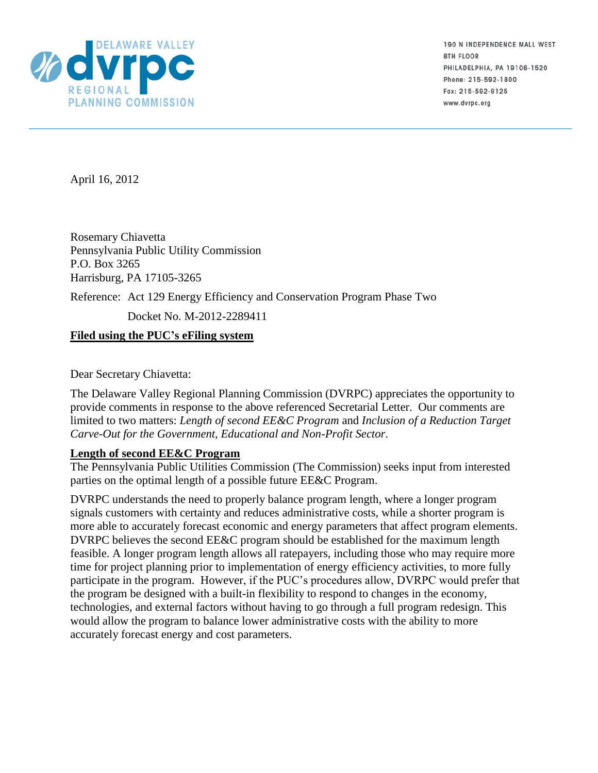

190 N INDEPENDENCE MALL WEST **8TH FLOOR** PHILADELPHIA, PA 19106-1520 Phone: 215-592-1800 Fax: 215-592-9125 www.dvrpc.org

April 16, 2012

Rosemary Chiavetta Pennsylvania Public Utility Commission P.O. Box 3265 Harrisburg, PA 17105-3265

Reference: Act 129 Energy Efficiency and Conservation Program Phase Two

Docket No. M-2012-2289411

## **Filed using the PUC's eFiling system**

Dear Secretary Chiavetta:

The Delaware Valley Regional Planning Commission (DVRPC) appreciates the opportunity to provide comments in response to the above referenced Secretarial Letter. Our comments are limited to two matters: *Length of second EE&C Program* and *Inclusion of a Reduction Target Carve-Out for the Government, Educational and Non-Profit Sector*.

## **Length of second EE&C Program**

The Pennsylvania Public Utilities Commission (The Commission) seeks input from interested parties on the optimal length of a possible future EE&C Program.

DVRPC understands the need to properly balance program length, where a longer program signals customers with certainty and reduces administrative costs, while a shorter program is more able to accurately forecast economic and energy parameters that affect program elements. DVRPC believes the second EE&C program should be established for the maximum length feasible. A longer program length allows all ratepayers, including those who may require more time for project planning prior to implementation of energy efficiency activities, to more fully participate in the program. However, if the PUC's procedures allow, DVRPC would prefer that the program be designed with a built-in flexibility to respond to changes in the economy, technologies, and external factors without having to go through a full program redesign. This would allow the program to balance lower administrative costs with the ability to more accurately forecast energy and cost parameters.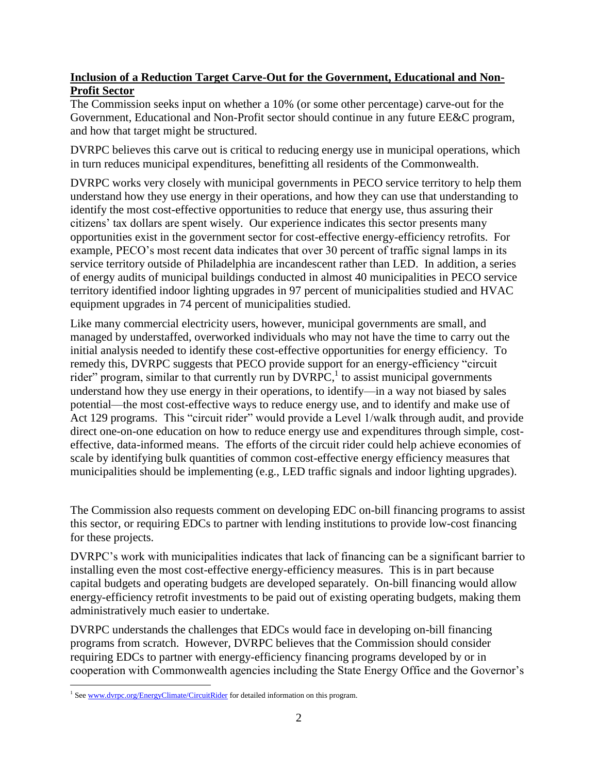## **Inclusion of a Reduction Target Carve-Out for the Government, Educational and Non-Profit Sector**

The Commission seeks input on whether a 10% (or some other percentage) carve-out for the Government, Educational and Non-Profit sector should continue in any future EE&C program, and how that target might be structured.

DVRPC believes this carve out is critical to reducing energy use in municipal operations, which in turn reduces municipal expenditures, benefitting all residents of the Commonwealth.

DVRPC works very closely with municipal governments in PECO service territory to help them understand how they use energy in their operations, and how they can use that understanding to identify the most cost-effective opportunities to reduce that energy use, thus assuring their citizens' tax dollars are spent wisely. Our experience indicates this sector presents many opportunities exist in the government sector for cost-effective energy-efficiency retrofits. For example, PECO's most recent data indicates that over 30 percent of traffic signal lamps in its service territory outside of Philadelphia are incandescent rather than LED. In addition, a series of energy audits of municipal buildings conducted in almost 40 municipalities in PECO service territory identified indoor lighting upgrades in 97 percent of municipalities studied and HVAC equipment upgrades in 74 percent of municipalities studied.

Like many commercial electricity users, however, municipal governments are small, and managed by understaffed, overworked individuals who may not have the time to carry out the initial analysis needed to identify these cost-effective opportunities for energy efficiency. To remedy this, DVRPC suggests that PECO provide support for an energy-efficiency "circuit rider" program, similar to that currently run by  $\text{DVRPC}^1$  to assist municipal governments understand how they use energy in their operations, to identify—in a way not biased by sales potential—the most cost-effective ways to reduce energy use, and to identify and make use of Act 129 programs. This "circuit rider" would provide a Level 1/walk through audit, and provide direct one-on-one education on how to reduce energy use and expenditures through simple, costeffective, data-informed means. The efforts of the circuit rider could help achieve economies of scale by identifying bulk quantities of common cost-effective energy efficiency measures that municipalities should be implementing (e.g., LED traffic signals and indoor lighting upgrades).

The Commission also requests comment on developing EDC on-bill financing programs to assist this sector, or requiring EDCs to partner with lending institutions to provide low-cost financing for these projects.

DVRPC's work with municipalities indicates that lack of financing can be a significant barrier to installing even the most cost-effective energy-efficiency measures. This is in part because capital budgets and operating budgets are developed separately. On-bill financing would allow energy-efficiency retrofit investments to be paid out of existing operating budgets, making them administratively much easier to undertake.

DVRPC understands the challenges that EDCs would face in developing on-bill financing programs from scratch. However, DVRPC believes that the Commission should consider requiring EDCs to partner with energy-efficiency financing programs developed by or in cooperation with Commonwealth agencies including the State Energy Office and the Governor's

<sup>&</sup>lt;sup>1</sup> See www.dvrpc.org/EnergyClimate/CircuitRider for detailed information on this program.